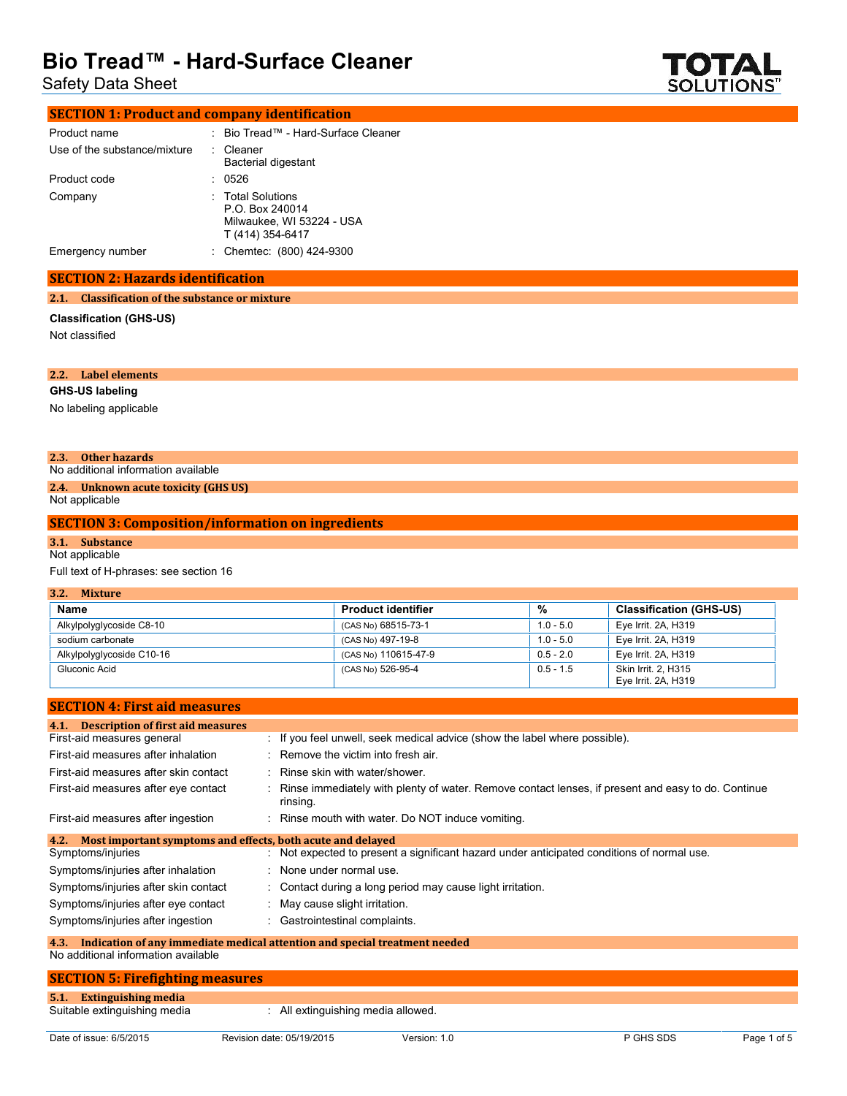Safety Data Sheet



| <b>SECTION 1: Product and company identification</b> |                                                                                       |
|------------------------------------------------------|---------------------------------------------------------------------------------------|
| Product name                                         | : Bio Tread™ - Hard-Surface Cleaner                                                   |
| Use of the substance/mixture                         | : Cleaner<br>Bacterial digestant                                                      |
| Product code                                         | 0526                                                                                  |
| Company                                              | : Total Solutions<br>P.O. Box 240014<br>Milwaukee, WI 53224 - USA<br>T (414) 354-6417 |
| Emergency number                                     | : Chemtec: (800) 424-9300                                                             |
|                                                      |                                                                                       |

#### **SECTION 2: Hazards identification**

#### **2.1. Classification of the substance or mixture**

### **Classification (GHS-US)**

Not classified

| 2.2. | <b>Label elements</b> |
|------|-----------------------|
|      |                       |

#### **GHS-US labeling** No labeling applicable

#### **2.3. Other hazards**

No additional information available **2.4. Unknown acute toxicity (GHS US)**

## Not applicable

### **SECTION 3: Composition/information on ingredients**

# **3.1. Substance**

Not applicable

### Full text of H-phrases: see section 16

| 3.2.<br><b>Mixture</b>    |                           |             |                                            |  |  |
|---------------------------|---------------------------|-------------|--------------------------------------------|--|--|
| Name                      | <b>Product identifier</b> | %           | <b>Classification (GHS-US)</b>             |  |  |
| Alkylpolyglycoside C8-10  | (CAS No) 68515-73-1       | $1.0 - 5.0$ | Eye Irrit. 2A, H319                        |  |  |
| sodium carbonate          | (CAS No) 497-19-8         | $1.0 - 5.0$ | Eye Irrit. 2A, H319                        |  |  |
| Alkylpolyglycoside C10-16 | (CAS No) 110615-47-9      | $0.5 - 2.0$ | Eye Irrit. 2A, H319                        |  |  |
| Gluconic Acid             | (CAS No) 526-95-4         | $0.5 - 1.5$ | Skin Irrit. 2, H315<br>Eye Irrit. 2A, H319 |  |  |

#### **SECTION 4: First aid measures**

| 4.1. Description of first aid measures                              |                                                                                                                  |  |  |  |
|---------------------------------------------------------------------|------------------------------------------------------------------------------------------------------------------|--|--|--|
| First-aid measures general                                          | : If you feel unwell, seek medical advice (show the label where possible).                                       |  |  |  |
| First-aid measures after inhalation                                 | : Remove the victim into fresh air.                                                                              |  |  |  |
| First-aid measures after skin contact                               | : Rinse skin with water/shower.                                                                                  |  |  |  |
| First-aid measures after eye contact                                | : Rinse immediately with plenty of water. Remove contact lenses, if present and easy to do. Continue<br>rinsing. |  |  |  |
| First-aid measures after ingestion                                  | : Rinse mouth with water. Do NOT induce vomiting.                                                                |  |  |  |
| Most important symptoms and effects, both acute and delayed<br>4.2. |                                                                                                                  |  |  |  |
| Symptoms/injuries                                                   | : Not expected to present a significant hazard under anticipated conditions of normal use.                       |  |  |  |
| Symptoms/injuries after inhalation                                  | : None under normal use.                                                                                         |  |  |  |
| Symptoms/injuries after skin contact                                | : Contact during a long period may cause light irritation.                                                       |  |  |  |
| Symptoms/injuries after eye contact                                 | : May cause slight irritation.                                                                                   |  |  |  |
| Symptoms/injuries after ingestion                                   | : Gastrointestinal complaints.                                                                                   |  |  |  |
| 4.3.                                                                | Indication of any immediate medical attention and special treatment needed                                       |  |  |  |
| No additional information available                                 |                                                                                                                  |  |  |  |

# **SECTION 5: Firefighting measures 5.1. Extinguishing media** : All extinguishing media allowed.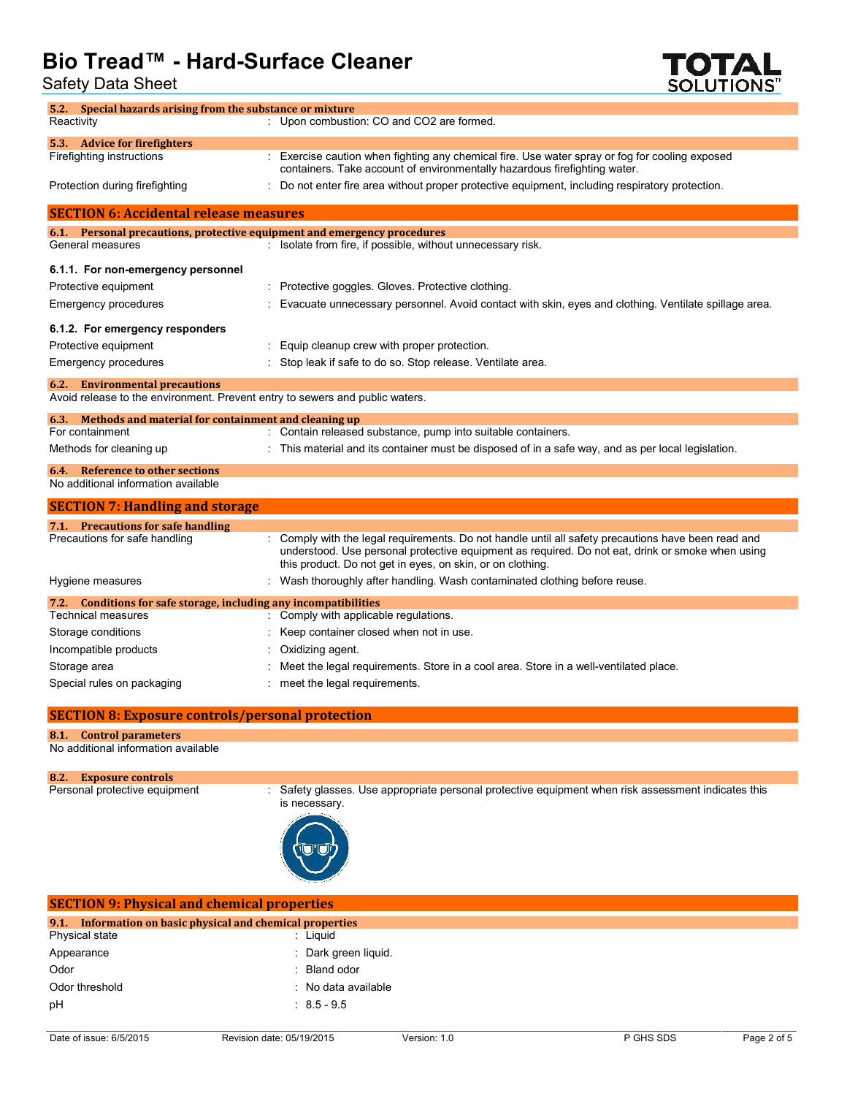Safety Data Sheet



| 5.2. Special hazards arising from the substance or mixture                   |                                                                                                                                                                                                                                                                       |
|------------------------------------------------------------------------------|-----------------------------------------------------------------------------------------------------------------------------------------------------------------------------------------------------------------------------------------------------------------------|
| Reactivity                                                                   | : Upon combustion: CO and CO2 are formed.                                                                                                                                                                                                                             |
| 5.3. Advice for firefighters                                                 |                                                                                                                                                                                                                                                                       |
| Firefighting instructions                                                    | : Exercise caution when fighting any chemical fire. Use water spray or fog for cooling exposed<br>containers. Take account of environmentally hazardous firefighting water.                                                                                           |
| Protection during firefighting                                               | : Do not enter fire area without proper protective equipment, including respiratory protection.                                                                                                                                                                       |
| <b>SECTION 6: Accidental release measures</b>                                |                                                                                                                                                                                                                                                                       |
| 6.1. Personal precautions, protective equipment and emergency procedures     |                                                                                                                                                                                                                                                                       |
| General measures                                                             | : Isolate from fire, if possible, without unnecessary risk.                                                                                                                                                                                                           |
| 6.1.1. For non-emergency personnel                                           |                                                                                                                                                                                                                                                                       |
| Protective equipment                                                         | : Protective goggles. Gloves. Protective clothing.                                                                                                                                                                                                                    |
| Emergency procedures                                                         | Evacuate unnecessary personnel. Avoid contact with skin, eyes and clothing. Ventilate spillage area.                                                                                                                                                                  |
|                                                                              |                                                                                                                                                                                                                                                                       |
| 6.1.2. For emergency responders                                              |                                                                                                                                                                                                                                                                       |
| Protective equipment                                                         | Equip cleanup crew with proper protection.                                                                                                                                                                                                                            |
| Emergency procedures                                                         | Stop leak if safe to do so. Stop release. Ventilate area.                                                                                                                                                                                                             |
| <b>6.2.</b> Environmental precautions                                        |                                                                                                                                                                                                                                                                       |
| Avoid release to the environment. Prevent entry to sewers and public waters. |                                                                                                                                                                                                                                                                       |
| Methods and material for containment and cleaning up<br>6.3.                 |                                                                                                                                                                                                                                                                       |
| For containment                                                              | Contain released substance, pump into suitable containers.                                                                                                                                                                                                            |
| Methods for cleaning up                                                      | This material and its container must be disposed of in a safe way, and as per local legislation.                                                                                                                                                                      |
| Reference to other sections<br>6.4.                                          |                                                                                                                                                                                                                                                                       |
| No additional information available                                          |                                                                                                                                                                                                                                                                       |
| <b>SECTION 7: Handling and storage</b>                                       |                                                                                                                                                                                                                                                                       |
| 7.1. Precautions for safe handling                                           |                                                                                                                                                                                                                                                                       |
| Precautions for safe handling                                                | : Comply with the legal requirements. Do not handle until all safety precautions have been read and<br>understood. Use personal protective equipment as required. Do not eat, drink or smoke when using<br>this product. Do not get in eyes, on skin, or on clothing. |
| Hygiene measures                                                             | : Wash thoroughly after handling. Wash contaminated clothing before reuse.                                                                                                                                                                                            |
| 7.2. Conditions for safe storage, including any incompatibilities            |                                                                                                                                                                                                                                                                       |
| <b>Technical measures</b>                                                    | : Comply with applicable regulations.                                                                                                                                                                                                                                 |
| Storage conditions                                                           | Keep container closed when not in use.                                                                                                                                                                                                                                |
| Incompatible products                                                        | Oxidizing agent.                                                                                                                                                                                                                                                      |
| Storage area                                                                 | Meet the legal requirements. Store in a cool area. Store in a well-ventilated place.                                                                                                                                                                                  |
| Special rules on packaging                                                   | meet the legal requirements.                                                                                                                                                                                                                                          |
| <b>SECTION 8: Exposure controls/personal protection</b>                      |                                                                                                                                                                                                                                                                       |
| 8.1. Control parameters                                                      |                                                                                                                                                                                                                                                                       |

No additional information available

# 8.2. Exposure controls<br>Personal protective equipment

is necessary.

| <b>SECTION 9: Physical and chemical properties</b>         |                      |  |  |  |
|------------------------------------------------------------|----------------------|--|--|--|
| 9.1. Information on basic physical and chemical properties |                      |  |  |  |
| Physical state                                             | : Liguid             |  |  |  |
| Appearance                                                 | : Dark green liquid. |  |  |  |
| Odor                                                       | : Bland odor         |  |  |  |
| Odor threshold                                             | : No data available  |  |  |  |
| pH                                                         | $: 8.5 - 9.5$        |  |  |  |
|                                                            |                      |  |  |  |

: Safety glasses. Use appropriate personal protective equipment when risk assessment indicates this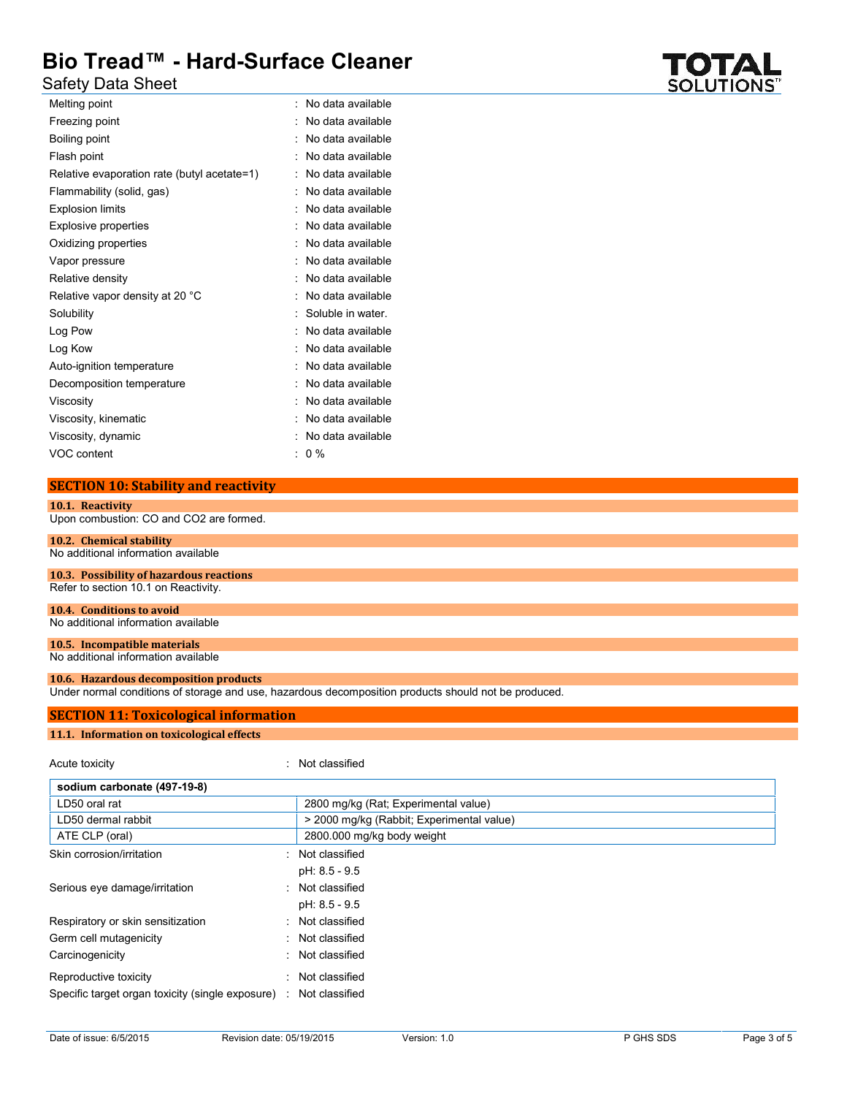# Safety Data Sheet

| Melting point                               | No data available |
|---------------------------------------------|-------------------|
| Freezing point                              | No data available |
| Boiling point                               | No data available |
| Flash point                                 | No data available |
| Relative evaporation rate (butyl acetate=1) | No data available |
| Flammability (solid, gas)                   | No data available |
| <b>Explosion limits</b>                     | No data available |
| Explosive properties                        | No data available |
| Oxidizing properties                        | No data available |
| Vapor pressure                              | No data available |
| Relative density                            | No data available |
| Relative vapor density at 20 °C             | No data available |
| Solubility                                  | Soluble in water. |
| Log Pow                                     | No data available |
| Log Kow                                     | No data available |
| Auto-ignition temperature                   | No data available |
| Decomposition temperature                   | No data available |
| Viscosity                                   | No data available |
| Viscosity, kinematic                        | No data available |
| Viscosity, dynamic                          | No data available |
| VOC content                                 | $0\%$             |

## **SECTION 10: Stability and reactivity**

### **10.1. Reactivity** Upon combustion: CO and CO2 are formed. **10.2. Chemical stability**

# No additional information available

#### **10.3. Possibility of hazardous reactions** Refer to section 10.1 on Reactivity.

#### **10.4. Conditions to avoid** No additional information available

#### **10.5. Incompatible materials** No additional information available

# **10.6. Hazardous decomposition products**

Under normal conditions of storage and use, hazardous decomposition products should not be produced.

### **SECTION 11: Toxicological information**

#### **11.1. Information on toxicological effects**

| Acute toxicity                                     | : Not classified                          |  |  |
|----------------------------------------------------|-------------------------------------------|--|--|
| sodium carbonate (497-19-8)                        |                                           |  |  |
| LD50 oral rat                                      | 2800 mg/kg (Rat; Experimental value)      |  |  |
| LD50 dermal rabbit                                 | > 2000 mg/kg (Rabbit; Experimental value) |  |  |
| ATE CLP (oral)                                     | 2800.000 mg/kg body weight                |  |  |
| Skin corrosion/irritation                          | : Not classified                          |  |  |
|                                                    | pH: 8.5 - 9.5                             |  |  |
| Serious eye damage/irritation                      | : Not classified                          |  |  |
|                                                    | pH: 8.5 - 9.5                             |  |  |
| Respiratory or skin sensitization                  | : Not classified                          |  |  |
| Germ cell mutagenicity                             | : Not classified                          |  |  |
| Carcinogenicity                                    | : Not classified                          |  |  |
| Reproductive toxicity                              | : Not classified                          |  |  |
| Specific target organ toxicity (single exposure) : | Not classified                            |  |  |

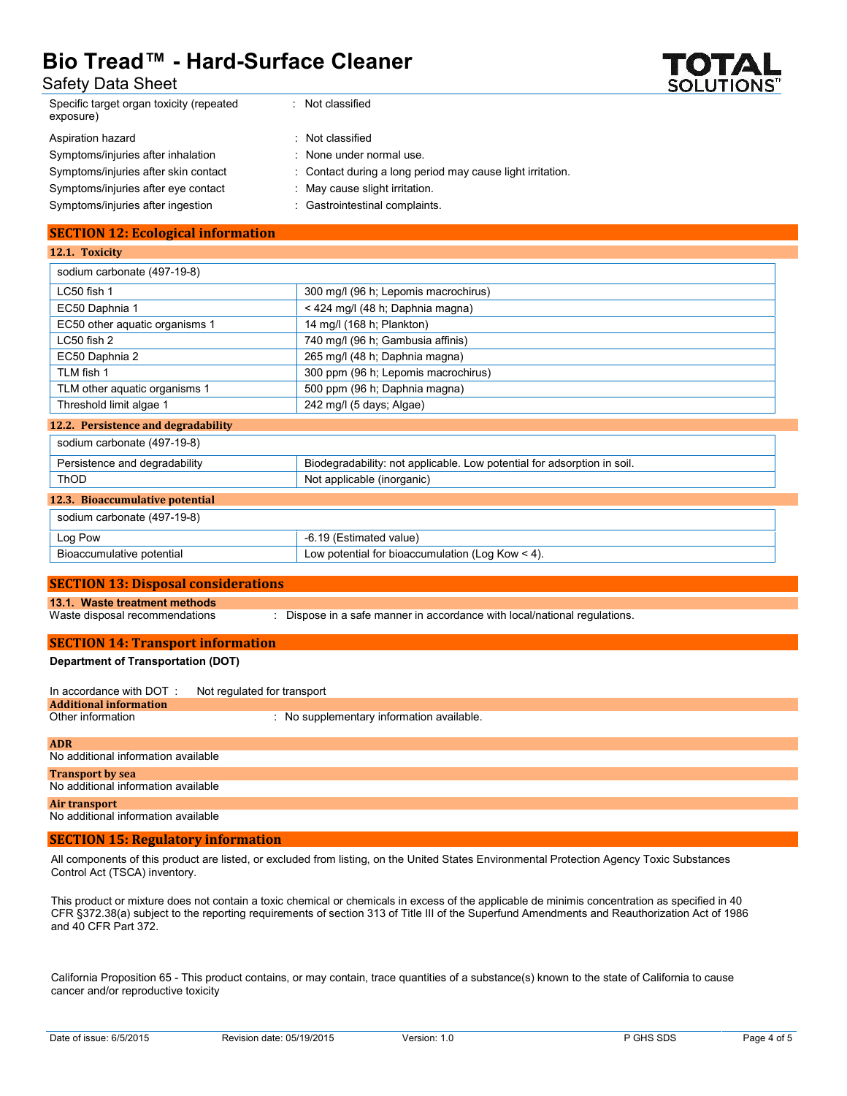

| Safety Data Sheet |  |
|-------------------|--|
|-------------------|--|

| <b>Safety Data Sheet</b>                               |                                                                           | <b>SOLUTIONS</b> " |
|--------------------------------------------------------|---------------------------------------------------------------------------|--------------------|
| Specific target organ toxicity (repeated<br>exposure)  | : Not classified                                                          |                    |
| Aspiration hazard                                      | : Not classified                                                          |                    |
| Symptoms/injuries after inhalation                     | None under normal use.                                                    |                    |
| Symptoms/injuries after skin contact                   | Contact during a long period may cause light irritation.                  |                    |
| Symptoms/injuries after eye contact                    | May cause slight irritation.                                              |                    |
| Symptoms/injuries after ingestion                      | : Gastrointestinal complaints.                                            |                    |
| <b>SECTION 12: Ecological information</b>              |                                                                           |                    |
| 12.1. Toxicity                                         |                                                                           |                    |
| sodium carbonate (497-19-8)                            |                                                                           |                    |
| LC50 fish 1                                            | 300 mg/l (96 h; Lepomis macrochirus)                                      |                    |
| EC50 Daphnia 1                                         | < 424 mg/l (48 h; Daphnia magna)                                          |                    |
| EC50 other aquatic organisms 1                         | 14 mg/l (168 h; Plankton)                                                 |                    |
| LC50 fish 2                                            | 740 mg/l (96 h; Gambusia affinis)                                         |                    |
| EC50 Daphnia 2                                         | 265 mg/l (48 h; Daphnia magna)                                            |                    |
| TLM fish 1                                             | 300 ppm (96 h; Lepomis macrochirus)                                       |                    |
| TLM other aquatic organisms 1                          | 500 ppm (96 h; Daphnia magna)                                             |                    |
| Threshold limit algae 1                                | 242 mg/l (5 days; Algae)                                                  |                    |
| 12.2. Persistence and degradability                    |                                                                           |                    |
| sodium carbonate (497-19-8)                            |                                                                           |                    |
| Persistence and degradability                          | Biodegradability: not applicable. Low potential for adsorption in soil.   |                    |
| <b>ThOD</b>                                            | Not applicable (inorganic)                                                |                    |
| 12.3. Bioaccumulative potential                        |                                                                           |                    |
| sodium carbonate (497-19-8)                            |                                                                           |                    |
| Log Pow                                                | -6.19 (Estimated value)                                                   |                    |
| Bioaccumulative potential                              | Low potential for bioaccumulation (Log Kow $\leq$ 4).                     |                    |
|                                                        |                                                                           |                    |
| <b>SECTION 13: Disposal considerations</b>             |                                                                           |                    |
| 13.1. Waste treatment methods                          |                                                                           |                    |
| Waste disposal recommendations                         | : Dispose in a safe manner in accordance with local/national regulations. |                    |
| <b>SECTION 14: Transport information</b>               |                                                                           |                    |
| <b>Department of Transportation (DOT)</b>              |                                                                           |                    |
| In accordance with DOT:<br>Not regulated for transport |                                                                           |                    |
| <b>Additional information</b><br>Other information     | : No supplementary information available.                                 |                    |
|                                                        |                                                                           |                    |

| <b>ADR</b>                                                     |
|----------------------------------------------------------------|
| No additional information available                            |
| <b>Transport by sea</b><br>No additional information available |
| Air transport<br>No additional information available           |
|                                                                |

#### **SECTION 15: Regulatory information**

All components of this product are listed, or excluded from listing, on the United States Environmental Protection Agency Toxic Substances Control Act (TSCA) inventory.

This product or mixture does not contain a toxic chemical or chemicals in excess of the applicable de minimis concentration as specified in 40 CFR §372.38(a) subject to the reporting requirements of section 313 of Title III of the Superfund Amendments and Reauthorization Act of 1986 and 40 CFR Part 372.

California Proposition 65 - This product contains, or may contain, trace quantities of a substance(s) known to the state of California to cause cancer and/or reproductive toxicity